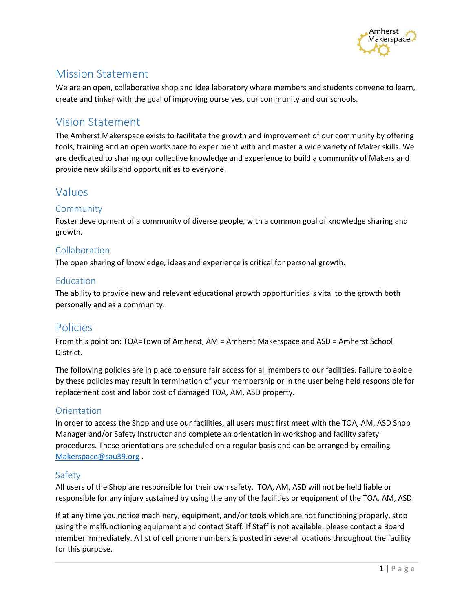

# Mission Statement

We are an open, collaborative shop and idea laboratory where members and students convene to learn, create and tinker with the goal of improving ourselves, our community and our schools.

# Vision Statement

The Amherst Makerspace exists to facilitate the growth and improvement of our community by offering tools, training and an open workspace to experiment with and master a wide variety of Maker skills. We are dedicated to sharing our collective knowledge and experience to build a community of Makers and provide new skills and opportunities to everyone.

# Values

## Community

Foster development of a community of diverse people, with a common goal of knowledge sharing and growth.

## Collaboration

The open sharing of knowledge, ideas and experience is critical for personal growth.

### Education

The ability to provide new and relevant educational growth opportunities is vital to the growth both personally and as a community.

## Policies

From this point on: TOA=Town of Amherst, AM = Amherst Makerspace and ASD = Amherst School District.

The following policies are in place to ensure fair access for all members to our facilities. Failure to abide by these policies may result in termination of your membership or in the user being held responsible for replacement cost and labor cost of damaged TOA, AM, ASD property.

## **Orientation**

In order to access the Shop and use our facilities, all users must first meet with the TOA, AM, ASD Shop Manager and/or Safety Instructor and complete an orientation in workshop and facility safety procedures. These orientations are scheduled on a regular basis and can be arranged by emailing [Makerspace@sau39.org](mailto:makerspace@sau39.org) .

## Safety

All users of the Shop are responsible for their own safety. TOA, AM, ASD will not be held liable or responsible for any injury sustained by using the any of the facilities or equipment of the TOA, AM, ASD.

If at any time you notice machinery, equipment, and/or tools which are not functioning properly, stop using the malfunctioning equipment and contact Staff. If Staff is not available, please contact a Board member immediately. A list of cell phone numbers is posted in several locations throughout the facility for this purpose.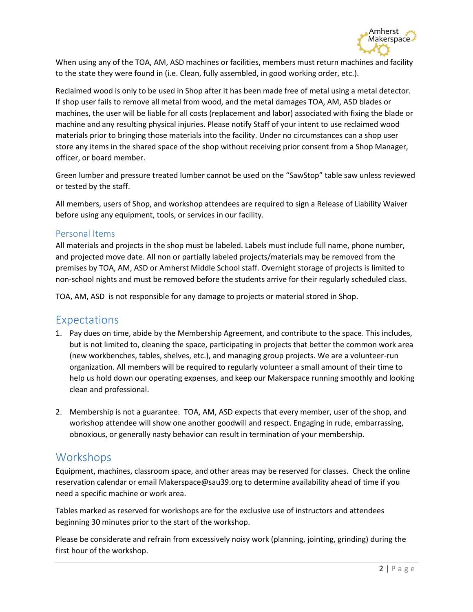

When using any of the TOA, AM, ASD machines or facilities, members must return machines and facility to the state they were found in (i.e. Clean, fully assembled, in good working order, etc.).

Reclaimed wood is only to be used in Shop after it has been made free of metal using a metal detector. If shop user fails to remove all metal from wood, and the metal damages TOA, AM, ASD blades or machines, the user will be liable for all costs (replacement and labor) associated with fixing the blade or machine and any resulting physical injuries. Please notify Staff of your intent to use reclaimed wood materials prior to bringing those materials into the facility. Under no circumstances can a shop user store any items in the shared space of the shop without receiving prior consent from a Shop Manager, officer, or board member.

Green lumber and pressure treated lumber cannot be used on the "SawStop" table saw unless reviewed or tested by the staff.

All members, users of Shop, and workshop attendees are required to sign a Release of Liability Waiver before using any equipment, tools, or services in our facility.

### Personal Items

All materials and projects in the shop must be labeled. Labels must include full name, phone number, and projected move date. All non or partially labeled projects/materials may be removed from the premises by TOA, AM, ASD or Amherst Middle School staff. Overnight storage of projects is limited to non-school nights and must be removed before the students arrive for their regularly scheduled class.

TOA, AM, ASD is not responsible for any damage to projects or material stored in Shop.

## Expectations

- 1. Pay dues on time, abide by the Membership Agreement, and contribute to the space. This includes, but is not limited to, cleaning the space, participating in projects that better the common work area (new workbenches, tables, shelves, etc.), and managing group projects. We are a volunteer-run organization. All members will be required to regularly volunteer a small amount of their time to help us hold down our operating expenses, and keep our Makerspace running smoothly and looking clean and professional.
- 2. Membership is not a guarantee. TOA, AM, ASD expects that every member, user of the shop, and workshop attendee will show one another goodwill and respect. Engaging in rude, embarrassing, obnoxious, or generally nasty behavior can result in termination of your membership.

## **Workshops**

Equipment, machines, classroom space, and other areas may be reserved for classes. Check the online reservation calendar or emai[l Makerspace@sau39.org](mailto:makerspace@sau39.org) to determine availability ahead of time if you need a specific machine or work area.

Tables marked as reserved for workshops are for the exclusive use of instructors and attendees beginning 30 minutes prior to the start of the workshop.

Please be considerate and refrain from excessively noisy work (planning, jointing, grinding) during the first hour of the workshop.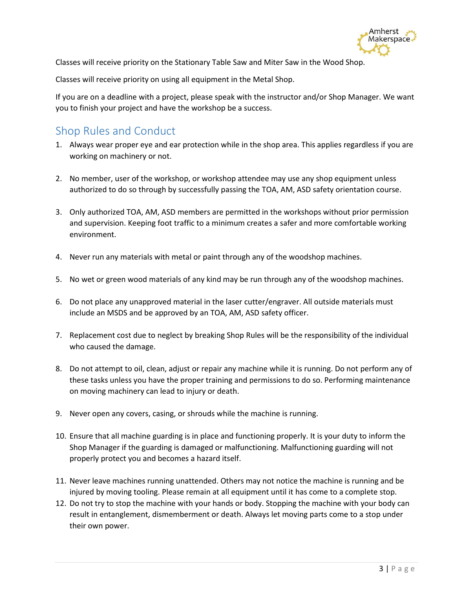

Classes will receive priority on the Stationary Table Saw and Miter Saw in the Wood Shop.

Classes will receive priority on using all equipment in the Metal Shop.

If you are on a deadline with a project, please speak with the instructor and/or Shop Manager. We want you to finish your project and have the workshop be a success.

## Shop Rules and Conduct

- 1. Always wear proper eye and ear protection while in the shop area. This applies regardless if you are working on machinery or not.
- 2. No member, user of the workshop, or workshop attendee may use any shop equipment unless authorized to do so through by successfully passing the TOA, AM, ASD safety orientation course.
- 3. Only authorized TOA, AM, ASD members are permitted in the workshops without prior permission and supervision. Keeping foot traffic to a minimum creates a safer and more comfortable working environment.
- 4. Never run any materials with metal or paint through any of the woodshop machines.
- 5. No wet or green wood materials of any kind may be run through any of the woodshop machines.
- 6. Do not place any unapproved material in the laser cutter/engraver. All outside materials must include an MSDS and be approved by an TOA, AM, ASD safety officer.
- 7. Replacement cost due to neglect by breaking Shop Rules will be the responsibility of the individual who caused the damage.
- 8. Do not attempt to oil, clean, adjust or repair any machine while it is running. Do not perform any of these tasks unless you have the proper training and permissions to do so. Performing maintenance on moving machinery can lead to injury or death.
- 9. Never open any covers, casing, or shrouds while the machine is running.
- 10. Ensure that all machine guarding is in place and functioning properly. It is your duty to inform the Shop Manager if the guarding is damaged or malfunctioning. Malfunctioning guarding will not properly protect you and becomes a hazard itself.
- 11. Never leave machines running unattended. Others may not notice the machine is running and be injured by moving tooling. Please remain at all equipment until it has come to a complete stop.
- 12. Do not try to stop the machine with your hands or body. Stopping the machine with your body can result in entanglement, dismemberment or death. Always let moving parts come to a stop under their own power.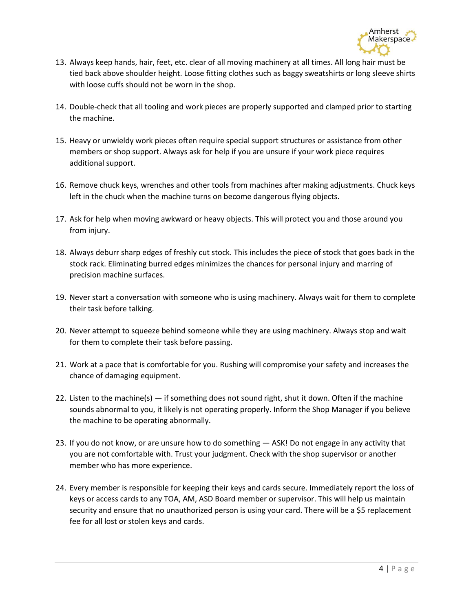

- 13. Always keep hands, hair, feet, etc. clear of all moving machinery at all times. All long hair must be tied back above shoulder height. Loose fitting clothes such as baggy sweatshirts or long sleeve shirts with loose cuffs should not be worn in the shop.
- 14. Double-check that all tooling and work pieces are properly supported and clamped prior to starting the machine.
- 15. Heavy or unwieldy work pieces often require special support structures or assistance from other members or shop support. Always ask for help if you are unsure if your work piece requires additional support.
- 16. Remove chuck keys, wrenches and other tools from machines after making adjustments. Chuck keys left in the chuck when the machine turns on become dangerous flying objects.
- 17. Ask for help when moving awkward or heavy objects. This will protect you and those around you from injury.
- 18. Always deburr sharp edges of freshly cut stock. This includes the piece of stock that goes back in the stock rack. Eliminating burred edges minimizes the chances for personal injury and marring of precision machine surfaces.
- 19. Never start a conversation with someone who is using machinery. Always wait for them to complete their task before talking.
- 20. Never attempt to squeeze behind someone while they are using machinery. Always stop and wait for them to complete their task before passing.
- 21. Work at a pace that is comfortable for you. Rushing will compromise your safety and increases the chance of damaging equipment.
- 22. Listen to the machine(s) if something does not sound right, shut it down. Often if the machine sounds abnormal to you, it likely is not operating properly. Inform the Shop Manager if you believe the machine to be operating abnormally.
- 23. If you do not know, or are unsure how to do something ASK! Do not engage in any activity that you are not comfortable with. Trust your judgment. Check with the shop supervisor or another member who has more experience.
- 24. Every member is responsible for keeping their keys and cards secure. Immediately report the loss of keys or access cards to any TOA, AM, ASD Board member or supervisor. This will help us maintain security and ensure that no unauthorized person is using your card. There will be a \$5 replacement fee for all lost or stolen keys and cards.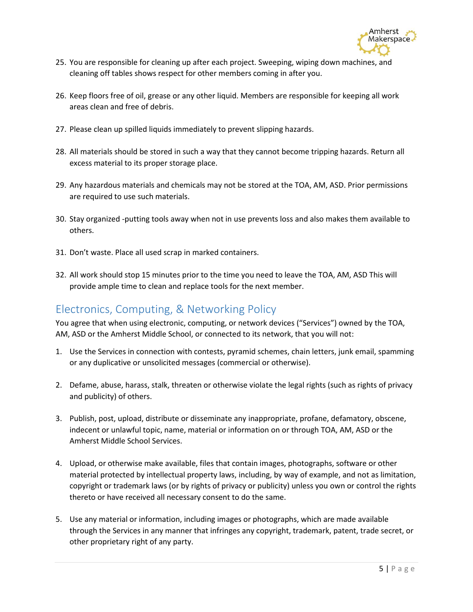

- 25. You are responsible for cleaning up after each project. Sweeping, wiping down machines, and cleaning off tables shows respect for other members coming in after you.
- 26. Keep floors free of oil, grease or any other liquid. Members are responsible for keeping all work areas clean and free of debris.
- 27. Please clean up spilled liquids immediately to prevent slipping hazards.
- 28. All materials should be stored in such a way that they cannot become tripping hazards. Return all excess material to its proper storage place.
- 29. Any hazardous materials and chemicals may not be stored at the TOA, AM, ASD. Prior permissions are required to use such materials.
- 30. Stay organized -putting tools away when not in use prevents loss and also makes them available to others.
- 31. Don't waste. Place all used scrap in marked containers.
- 32. All work should stop 15 minutes prior to the time you need to leave the TOA, AM, ASD This will provide ample time to clean and replace tools for the next member.

## Electronics, Computing, & Networking Policy

You agree that when using electronic, computing, or network devices ("Services") owned by the TOA, AM, ASD or the Amherst Middle School, or connected to its network, that you will not:

- 1. Use the Services in connection with contests, pyramid schemes, chain letters, junk email, spamming or any duplicative or unsolicited messages (commercial or otherwise).
- 2. Defame, abuse, harass, stalk, threaten or otherwise violate the legal rights (such as rights of privacy and publicity) of others.
- 3. Publish, post, upload, distribute or disseminate any inappropriate, profane, defamatory, obscene, indecent or unlawful topic, name, material or information on or through TOA, AM, ASD or the Amherst Middle School Services.
- 4. Upload, or otherwise make available, files that contain images, photographs, software or other material protected by intellectual property laws, including, by way of example, and not as limitation, copyright or trademark laws (or by rights of privacy or publicity) unless you own or control the rights thereto or have received all necessary consent to do the same.
- 5. Use any material or information, including images or photographs, which are made available through the Services in any manner that infringes any copyright, trademark, patent, trade secret, or other proprietary right of any party.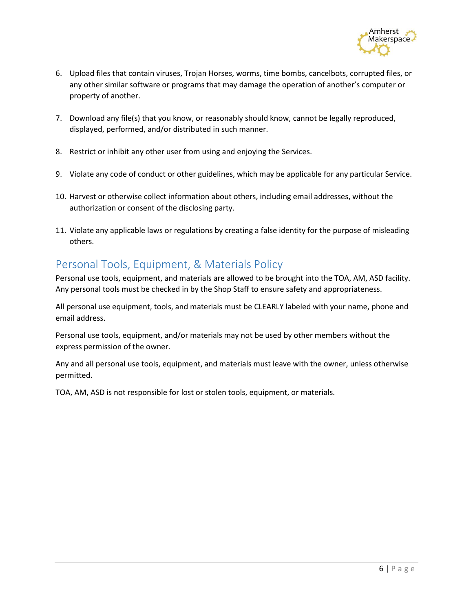

- 6. Upload files that contain viruses, Trojan Horses, worms, time bombs, cancelbots, corrupted files, or any other similar software or programs that may damage the operation of another's computer or property of another.
- 7. Download any file(s) that you know, or reasonably should know, cannot be legally reproduced, displayed, performed, and/or distributed in such manner.
- 8. Restrict or inhibit any other user from using and enjoying the Services.
- 9. Violate any code of conduct or other guidelines, which may be applicable for any particular Service.
- 10. Harvest or otherwise collect information about others, including email addresses, without the authorization or consent of the disclosing party.
- 11. Violate any applicable laws or regulations by creating a false identity for the purpose of misleading others.

# Personal Tools, Equipment, & Materials Policy

Personal use tools, equipment, and materials are allowed to be brought into the TOA, AM, ASD facility. Any personal tools must be checked in by the Shop Staff to ensure safety and appropriateness.

All personal use equipment, tools, and materials must be CLEARLY labeled with your name, phone and email address.

Personal use tools, equipment, and/or materials may not be used by other members without the express permission of the owner.

Any and all personal use tools, equipment, and materials must leave with the owner, unless otherwise permitted.

TOA, AM, ASD is not responsible for lost or stolen tools, equipment, or materials.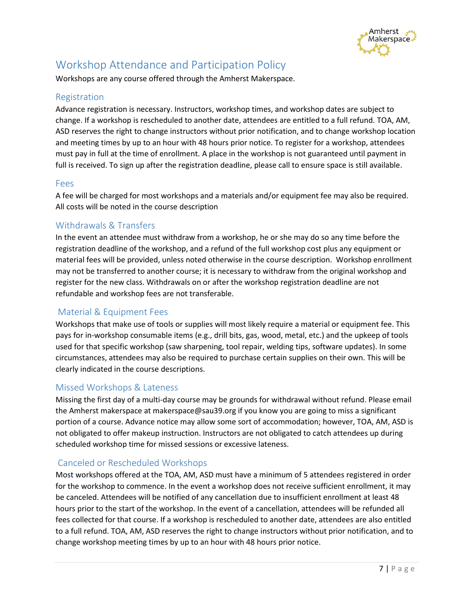

# Workshop Attendance and Participation Policy

Workshops are any course offered through the Amherst Makerspace.

### Registration

Advance registration is necessary. Instructors, workshop times, and workshop dates are subject to change. If a workshop is rescheduled to another date, attendees are entitled to a full refund. TOA, AM, ASD reserves the right to change instructors without prior notification, and to change workshop location and meeting times by up to an hour with 48 hours prior notice. To register for a workshop, attendees must pay in full at the time of enrollment. A place in the workshop is not guaranteed until payment in full is received. To sign up after the registration deadline, please call to ensure space is still available.

#### Fees

A fee will be charged for most workshops and a materials and/or equipment fee may also be required. All costs will be noted in the course description

## Withdrawals & Transfers

In the event an attendee must withdraw from a workshop, he or she may do so any time before the registration deadline of the workshop, and a refund of the full workshop cost plus any equipment or material fees will be provided, unless noted otherwise in the course description. Workshop enrollment may not be transferred to another course; it is necessary to withdraw from the original workshop and register for the new class. Withdrawals on or after the workshop registration deadline are not refundable and workshop fees are not transferable.

## Material & Equipment Fees

Workshops that make use of tools or supplies will most likely require a material or equipment fee. This pays for in-workshop consumable items (e.g., drill bits, gas, wood, metal, etc.) and the upkeep of tools used for that specific workshop (saw sharpening, tool repair, welding tips, software updates). In some circumstances, attendees may also be required to purchase certain supplies on their own. This will be clearly indicated in the course descriptions.

#### Missed Workshops & Lateness

Missing the first day of a multi-day course may be grounds for withdrawal without refund. Please email the Amherst makerspace at makerspace@sau39.org if you know you are going to miss a significant portion of a course. Advance notice may allow some sort of accommodation; however, TOA, AM, ASD is not obligated to offer makeup instruction. Instructors are not obligated to catch attendees up during scheduled workshop time for missed sessions or excessive lateness.

## Canceled or Rescheduled Workshops

Most workshops offered at the TOA, AM, ASD must have a minimum of 5 attendees registered in order for the workshop to commence. In the event a workshop does not receive sufficient enrollment, it may be canceled. Attendees will be notified of any cancellation due to insufficient enrollment at least 48 hours prior to the start of the workshop. In the event of a cancellation, attendees will be refunded all fees collected for that course. If a workshop is rescheduled to another date, attendees are also entitled to a full refund. TOA, AM, ASD reserves the right to change instructors without prior notification, and to change workshop meeting times by up to an hour with 48 hours prior notice.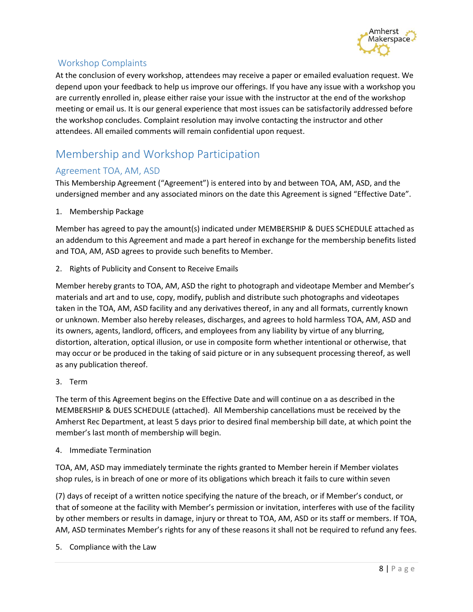

## Workshop Complaints

At the conclusion of every workshop, attendees may receive a paper or emailed evaluation request. We depend upon your feedback to help us improve our offerings. If you have any issue with a workshop you are currently enrolled in, please either raise your issue with the instructor at the end of the workshop meeting or email us. It is our general experience that most issues can be satisfactorily addressed before the workshop concludes. Complaint resolution may involve contacting the instructor and other attendees. All emailed comments will remain confidential upon request.

# Membership and Workshop Participation

## Agreement TOA, AM, ASD

This Membership Agreement ("Agreement") is entered into by and between TOA, AM, ASD, and the undersigned member and any associated minors on the date this Agreement is signed "Effective Date".

1. Membership Package

Member has agreed to pay the amount(s) indicated under MEMBERSHIP & DUES SCHEDULE attached as an addendum to this Agreement and made a part hereof in exchange for the membership benefits listed and TOA, AM, ASD agrees to provide such benefits to Member.

2. Rights of Publicity and Consent to Receive Emails

Member hereby grants to TOA, AM, ASD the right to photograph and videotape Member and Member's materials and art and to use, copy, modify, publish and distribute such photographs and videotapes taken in the TOA, AM, ASD facility and any derivatives thereof, in any and all formats, currently known or unknown. Member also hereby releases, discharges, and agrees to hold harmless TOA, AM, ASD and its owners, agents, landlord, officers, and employees from any liability by virtue of any blurring, distortion, alteration, optical illusion, or use in composite form whether intentional or otherwise, that may occur or be produced in the taking of said picture or in any subsequent processing thereof, as well as any publication thereof.

3. Term

The term of this Agreement begins on the Effective Date and will continue on a as described in the MEMBERSHIP & DUES SCHEDULE (attached). All Membership cancellations must be received by the Amherst Rec Department, at least 5 days prior to desired final membership bill date, at which point the member's last month of membership will begin.

4. Immediate Termination

TOA, AM, ASD may immediately terminate the rights granted to Member herein if Member violates shop rules, is in breach of one or more of its obligations which breach it fails to cure within seven

(7) days of receipt of a written notice specifying the nature of the breach, or if Member's conduct, or that of someone at the facility with Member's permission or invitation, interferes with use of the facility by other members or results in damage, injury or threat to TOA, AM, ASD or its staff or members. If TOA, AM, ASD terminates Member's rights for any of these reasons it shall not be required to refund any fees.

5. Compliance with the Law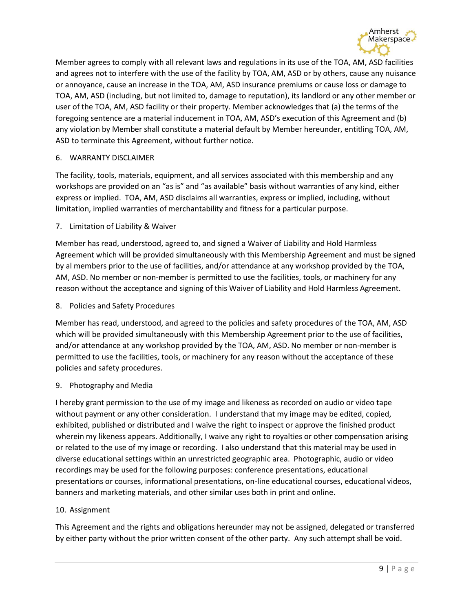

Member agrees to comply with all relevant laws and regulations in its use of the TOA, AM, ASD facilities and agrees not to interfere with the use of the facility by TOA, AM, ASD or by others, cause any nuisance or annoyance, cause an increase in the TOA, AM, ASD insurance premiums or cause loss or damage to TOA, AM, ASD (including, but not limited to, damage to reputation), its landlord or any other member or user of the TOA, AM, ASD facility or their property. Member acknowledges that (a) the terms of the foregoing sentence are a material inducement in TOA, AM, ASD's execution of this Agreement and (b) any violation by Member shall constitute a material default by Member hereunder, entitling TOA, AM, ASD to terminate this Agreement, without further notice.

#### 6. WARRANTY DISCLAIMER

The facility, tools, materials, equipment, and all services associated with this membership and any workshops are provided on an "as is" and "as available" basis without warranties of any kind, either express or implied. TOA, AM, ASD disclaims all warranties, express or implied, including, without limitation, implied warranties of merchantability and fitness for a particular purpose.

7. Limitation of Liability & Waiver

Member has read, understood, agreed to, and signed a Waiver of Liability and Hold Harmless Agreement which will be provided simultaneously with this Membership Agreement and must be signed by al members prior to the use of facilities, and/or attendance at any workshop provided by the TOA, AM, ASD. No member or non-member is permitted to use the facilities, tools, or machinery for any reason without the acceptance and signing of this Waiver of Liability and Hold Harmless Agreement.

8. Policies and Safety Procedures

Member has read, understood, and agreed to the policies and safety procedures of the TOA, AM, ASD which will be provided simultaneously with this Membership Agreement prior to the use of facilities, and/or attendance at any workshop provided by the TOA, AM, ASD. No member or non-member is permitted to use the facilities, tools, or machinery for any reason without the acceptance of these policies and safety procedures.

#### 9. Photography and Media

I hereby grant permission to the use of my image and likeness as recorded on audio or video tape without payment or any other consideration. I understand that my image may be edited, copied, exhibited, published or distributed and I waive the right to inspect or approve the finished product wherein my likeness appears. Additionally, I waive any right to royalties or other compensation arising or related to the use of my image or recording. I also understand that this material may be used in diverse educational settings within an unrestricted geographic area. Photographic, audio or video recordings may be used for the following purposes: conference presentations, educational presentations or courses, informational presentations, on-line educational courses, educational videos, banners and marketing materials, and other similar uses both in print and online.

#### 10. Assignment

This Agreement and the rights and obligations hereunder may not be assigned, delegated or transferred by either party without the prior written consent of the other party. Any such attempt shall be void.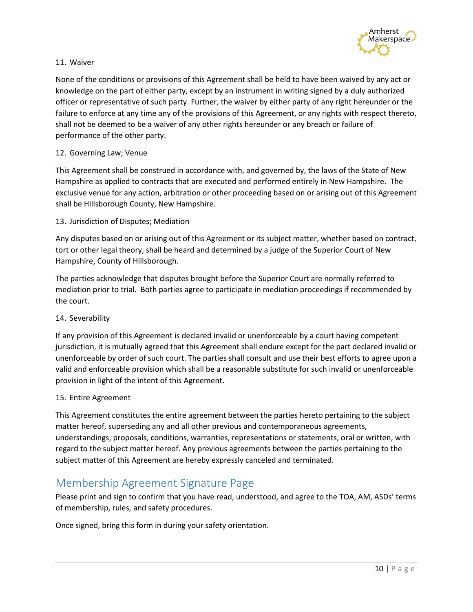

#### 11. Waiver

None of the conditions or provisions of this Agreement shall be held to have been waived by any act or knowledge on the part of either party, except by an instrument in writing signed by a duly authorized officer or representative of such party. Further, the waiver by either party of any right hereunder or the failure to enforce at any time any of the provisions of this Agreement, or any rights with respect thereto, shall not be deemed to be a waiver of any other rights hereunder or any breach or failure of performance of the other party.

#### 12. Governing Law; Venue

This Agreement shall be construed in accordance with, and governed by, the laws of the State of New Hampshire as applied to contracts that are executed and performed entirely in New Hampshire. The exclusive venue for any action, arbitration or other proceeding based on or arising out of this Agreement shall be Hillsborough County, New Hampshire.

#### 13. Jurisdiction of Disputes; Mediation

Any disputes based on or arising out of this Agreement or its subject matter, whether based on contract, tort or other legal theory, shall be heard and determined by a judge of the Superior Court of New Hampshire, County of Hillsborough.

The parties acknowledge that disputes brought before the Superior Court are normally referred to mediation prior to trial. Both parties agree to participate in mediation proceedings if recommended by the court.

#### 14. Severability

If any provision of this Agreement is declared invalid or unenforceable by a court having competent jurisdiction, it is mutually agreed that this Agreement shall endure except for the part declared invalid or unenforceable by order of such court. The parties shall consult and use their best efforts to agree upon a valid and enforceable provision which shall be a reasonable substitute for such invalid or unenforceable provision in light of the intent of this Agreement.

#### 15. Entire Agreement

This Agreement constitutes the entire agreement between the parties hereto pertaining to the subject matter hereof, superseding any and all other previous and contemporaneous agreements, understandings, proposals, conditions, warranties, representations or statements, oral or written, with regard to the subject matter hereof. Any previous agreements between the parties pertaining to the subject matter of this Agreement are hereby expressly canceled and terminated.

## Membership Agreement Signature Page

Please print and sign to confirm that you have read, understood, and agree to the TOA, AM, ASDs' terms of membership, rules, and safety procedures.

Once signed, bring this form in during your safety orientation.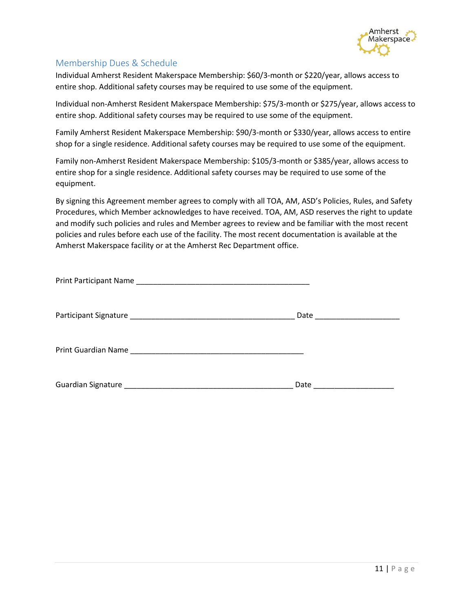

## Membership Dues & Schedule

Individual Amherst Resident Makerspace Membership: \$60/3-month or \$220/year, allows access to entire shop. Additional safety courses may be required to use some of the equipment.

Individual non-Amherst Resident Makerspace Membership: \$75/3-month or \$275/year, allows access to entire shop. Additional safety courses may be required to use some of the equipment.

Family Amherst Resident Makerspace Membership: \$90/3-month or \$330/year, allows access to entire shop for a single residence. Additional safety courses may be required to use some of the equipment.

Family non-Amherst Resident Makerspace Membership: \$105/3-month or \$385/year, allows access to entire shop for a single residence. Additional safety courses may be required to use some of the equipment.

By signing this Agreement member agrees to comply with all TOA, AM, ASD's Policies, Rules, and Safety Procedures, which Member acknowledges to have received. TOA, AM, ASD reserves the right to update and modify such policies and rules and Member agrees to review and be familiar with the most recent policies and rules before each use of the facility. The most recent documentation is available at the Amherst Makerspace facility or at the Amherst Rec Department office.

| Date |
|------|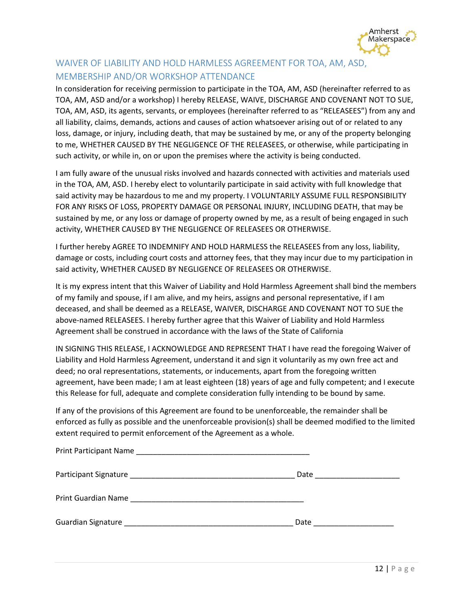

## WAIVER OF LIABILITY AND HOLD HARMLESS AGREEMENT FOR TOA, AM, ASD, MEMBERSHIP AND/OR WORKSHOP ATTENDANCE

In consideration for receiving permission to participate in the TOA, AM, ASD (hereinafter referred to as TOA, AM, ASD and/or a workshop) I hereby RELEASE, WAIVE, DISCHARGE AND COVENANT NOT TO SUE, TOA, AM, ASD, its agents, servants, or employees (hereinafter referred to as "RELEASEES") from any and all liability, claims, demands, actions and causes of action whatsoever arising out of or related to any loss, damage, or injury, including death, that may be sustained by me, or any of the property belonging to me, WHETHER CAUSED BY THE NEGLIGENCE OF THE RELEASEES, or otherwise, while participating in such activity, or while in, on or upon the premises where the activity is being conducted.

I am fully aware of the unusual risks involved and hazards connected with activities and materials used in the TOA, AM, ASD. I hereby elect to voluntarily participate in said activity with full knowledge that said activity may be hazardous to me and my property. I VOLUNTARILY ASSUME FULL RESPONSIBILITY FOR ANY RISKS OF LOSS, PROPERTY DAMAGE OR PERSONAL INJURY, INCLUDING DEATH, that may be sustained by me, or any loss or damage of property owned by me, as a result of being engaged in such activity, WHETHER CAUSED BY THE NEGLIGENCE OF RELEASEES OR OTHERWISE.

I further hereby AGREE TO INDEMNIFY AND HOLD HARMLESS the RELEASEES from any loss, liability, damage or costs, including court costs and attorney fees, that they may incur due to my participation in said activity, WHETHER CAUSED BY NEGLIGENCE OF RELEASEES OR OTHERWISE.

It is my express intent that this Waiver of Liability and Hold Harmless Agreement shall bind the members of my family and spouse, if I am alive, and my heirs, assigns and personal representative, if I am deceased, and shall be deemed as a RELEASE, WAIVER, DISCHARGE AND COVENANT NOT TO SUE the above-named RELEASEES. I hereby further agree that this Waiver of Liability and Hold Harmless Agreement shall be construed in accordance with the laws of the State of California

IN SIGNING THIS RELEASE, I ACKNOWLEDGE AND REPRESENT THAT I have read the foregoing Waiver of Liability and Hold Harmless Agreement, understand it and sign it voluntarily as my own free act and deed; no oral representations, statements, or inducements, apart from the foregoing written agreement, have been made; I am at least eighteen (18) years of age and fully competent; and I execute this Release for full, adequate and complete consideration fully intending to be bound by same.

If any of the provisions of this Agreement are found to be unenforceable, the remainder shall be enforced as fully as possible and the unenforceable provision(s) shall be deemed modified to the limited extent required to permit enforcement of the Agreement as a whole.

| Date _______________________ |
|------------------------------|
|                              |
| Date _________________       |